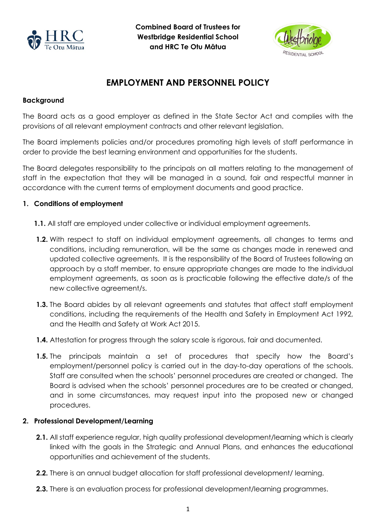



# **EMPLOYMENT AND PERSONNEL POLICY**

#### **Background**

The Board acts as a good employer as defined in the State Sector Act and complies with the provisions of all relevant employment contracts and other relevant legislation.

The Board implements policies and/or procedures promoting high levels of staff performance in order to provide the best learning environment and opportunities for the students.

The Board delegates responsibility to the principals on all matters relating to the management of staff in the expectation that they will be managed in a sound, fair and respectful manner in accordance with the current terms of employment documents and good practice.

#### **1. Conditions of employment**

- **1.1.** All staff are employed under collective or individual employment agreements.
- **1.2.** With respect to staff on individual employment agreements, all changes to terms and conditions, including remuneration, will be the same as changes made in renewed and updated collective agreements. It is the responsibility of the Board of Trustees following an approach by a staff member, to ensure appropriate changes are made to the individual employment agreements, as soon as is practicable following the effective date/s of the new collective agreement/s.
- **1.3.** The Board abides by all relevant agreements and statutes that affect staff employment conditions, including the requirements of the Health and Safety in Employment Act 1992, and the Health and Safety at Work Act 2015.
- **1.4.** Attestation for progress through the salary scale is rigorous, fair and documented.
- **1.5.** The principals maintain a set of procedures that specify how the Board's employment/personnel policy is carried out in the day-to-day operations of the schools. Staff are consulted when the schools' personnel procedures are created or changed. The Board is advised when the schools' personnel procedures are to be created or changed, and in some circumstances, may request input into the proposed new or changed procedures.

#### **2. Professional Development/Learning**

- **2.1.** All staff experience regular, high quality professional development/learning which is clearly linked with the goals in the Strategic and Annual Plans, and enhances the educational opportunities and achievement of the students.
- **2.2.** There is an annual budget allocation for staff professional development/ learning.
- **2.3.** There is an evaluation process for professional development/learning programmes.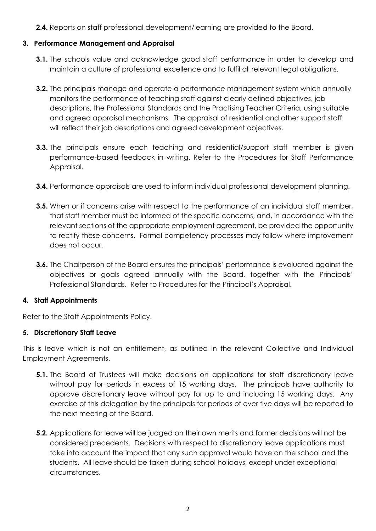**2.4.** Reports on staff professional development/learning are provided to the Board.

### **3. Performance Management and Appraisal**

- **3.1.** The schools value and acknowledge good staff performance in order to develop and maintain a culture of professional excellence and to fulfil all relevant legal obligations.
- **3.2.** The principals manage and operate a performance management system which annually monitors the performance of teaching staff against clearly defined objectives, job descriptions, the Professional Standards and the Practising Teacher Criteria, using suitable and agreed appraisal mechanisms. The appraisal of residential and other support staff will reflect their job descriptions and agreed development objectives.
- **3.3.** The principals ensure each teaching and residential/support staff member is given performance-based feedback in writing. Refer to the Procedures for Staff Performance Appraisal.
- **3.4.** Performance appraisals are used to inform individual professional development planning.
- **3.5.** When or if concerns arise with respect to the performance of an individual staff member, that staff member must be informed of the specific concerns, and, in accordance with the relevant sections of the appropriate employment agreement, be provided the opportunity to rectify these concerns. Formal competency processes may follow where improvement does not occur.
- **3.6.** The Chairperson of the Board ensures the principals' performance is evaluated against the objectives or goals agreed annually with the Board, together with the Principals' Professional Standards. Refer to Procedures for the Principal's Appraisal.

#### **4. Staff Appointments**

Refer to the Staff Appointments Policy.

#### **5. Discretionary Staff Leave**

This is leave which is not an entitlement, as outlined in the relevant Collective and Individual Employment Agreements.

- **5.1.** The Board of Trustees will make decisions on applications for staff discretionary leave without pay for periods in excess of 15 working days. The principals have authority to approve discretionary leave without pay for up to and including 15 working days. Any exercise of this delegation by the principals for periods of over five days will be reported to the next meeting of the Board.
- **5.2.** Applications for leave will be judged on their own merits and former decisions will not be considered precedents. Decisions with respect to discretionary leave applications must take into account the impact that any such approval would have on the school and the students. All leave should be taken during school holidays, except under exceptional circumstances.